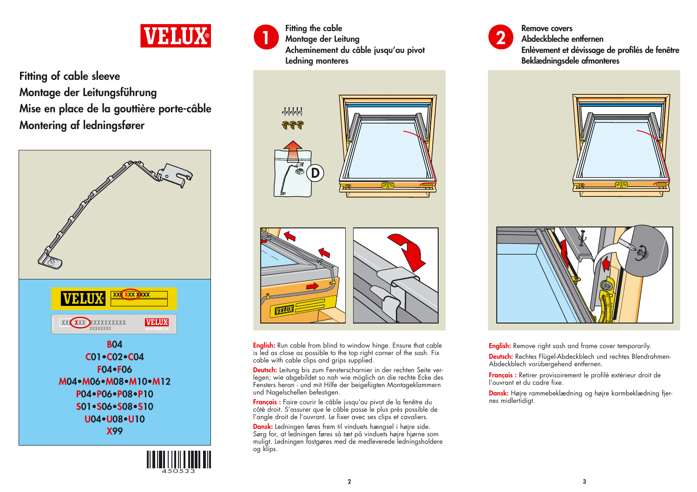

**Fitting of cable sleeve Montage der Leitungsführung Mise en place de la gouttière porte-câble Montering af ledningsfører**



**U04•U08•U10 X99**





**Fitting the cable Montage der Leitung Acheminement du câble jusqu'au pivot Ledning monteres**





**English:** Run cable from blind to window hinge. Ensure that cable is led as close as possible to the top right corner of the sash. Fix cable with cable clips and grips supplied.

**Deutsch:** Leitung bis zum Fensterscharnier in der rechten Seite verlegen; wie abgebildet so nah wie möglich an die rechte Ecke des Fensters heran - und mit Hilfe der beigefügten Montageklammern und Nagelschellen befestigen.

**Français :** Faire courir le câble jusqu'au pivot de la fenêtre du côté droit. S'assurer que le câble passe le plus près possible de l'angle droit de l'ouvrant. Le fixer avec ses clips et cavaliers.

**Dansk:** Ledningen føres frem til vinduets hængsel i højre side. Sørg for, at ledningen føres så tæt på vinduets højre hjørne som muligt. Ledningen fastgøres med de medleverede ledningsholdere og klips.



**Remove covers Abdeckbleche entfernen**

**Enlèvement et dévissage de profilés de fenêtre Beklædningsdele afmonteres**





**English:** Remove right sash and frame cover temporarily.

**Deutsch:** Rechtes Flügel-Abdeckblech und rechtes Blendrahmen-Abdeckblech vorübergehend entfernen.

**Français :** Retirer provisoirement le profilé extérieur droit de l'ouvrant et du cadre fixe.

**Dansk:** Højre rammebeklædning og højre karmbeklædning fjernes midlertidigt.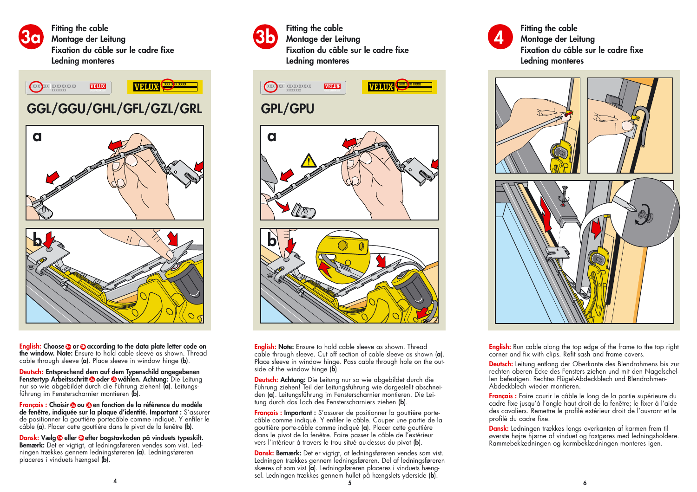

**Fitting the cable Montage der Leitung Fixation du câble sur le cadre fixe Ledning monteres**



## **GGL/GGU/GHL/GFL/GZL/GRL GPL/GPU**



**English: Choose or according to the data plate letter code on 3a 3bthe window. Note:** Ensure to hold cable sleeve as shown. Thread cable through sleeve **(a)**. Place sleeve in window hinge **(b)**.

**Deutsch: Entsprechend dem auf dem Typenschild angegebenen 6 Fenstertyp Arbeitsschritt © oder © wählen. Achtung:** Die Leitung nur so wie abgebildet durch die Führung ziehen! **(a)**. Leitungsführung im Fensterscharnier montieren **(b)**.

**Français : Choisir ou en fonction de la référence du modèle 3a 3b de fenêtre, indiquée sur la plaque d'identité. Important :** S'assurer de positionner la gouttière portecâble comme indiqué. Y enfiler le câble **(a)**. Placer cette gouttière dans le pivot de la fenêtre **(b)**.

**Dansk: Vælg © eller ⊕efter bogstavkoden på vinduets typeskilt. Bemærk:** Det er vigtigt, at ledningsføreren vendes som vist. Ledningen trækkes gennem ledningsføreren **(a)**. Ledningsføreren <sup>p</sup>laceres i vinduets hængsel **(b)**.



**Fitting the cable Montage der Leitung Fixation du câble sur le cadre fixe Ledning monteres**



**English: Note:** Ensure to hold cable sleeve as shown. Thread cable through sleeve. Cut off section of cable sleeve as shown (**a**). Place sleeve in window hinge. Pass cable through hole on the outside of the window hinge (**b**).

**Deutsch: Achtung:** Die Leitung nur so wie abgebildet durch die Führung ziehen! Teil der Leitungsführung wie dargestellt abschneiden (**a**). Leitungsführung im Fensterscharnier montieren. Die Leitung durch das Loch des Fensterscharniers ziehen (**b**).

**Français : Important :** S'assurer de positionner la gouttière portecâble comme indiqué. Y enfiler le câble. Couper une partie de la gouttière porte-câble comme indiqué (**a**). Placer cette gouttière dans le pivot de la fenêtre. Faire passer le câble de l'extérieur vers l'intérieur à travers le trou situé au-dessus du pivot (**b**).

**Dansk: Bemærk:** Det er vigtigt, at ledningsføreren vendes som vist. Ledningen trækkes gennem ledningsføreren. Del af ledningsføreren skæres af som vist (**a**). Ledningsføreren placeres i vinduets hængsel. Ledningen trækkes gennem hullet på hængslets yderside (**b**). **5**



**Fitting the cable Montage der Leitung Fixation du câble sur le cadre fixe Ledning monteres**



**English:** Run cable along the top edge of the frame to the top right corner and fix with clips. Refit sash and frame covers.

**Deutsch:** Leitung entlang der Oberkante des Blendrahmens bis zur rechten oberen Ecke des Fensters ziehen und mit den Nagelschellen befestigen. Rechtes Flügel-Abdeckblech und Blendrahmen-Abdeckblech wieder montieren.

**Français :** Faire courir le câble le long de la partie supérieure du cadre fixe jusqu'à l'angle haut droit de la fenêtre; le fixer à l'aide des cavaliers. Remettre le profilé extérieur droit de l'ouvrant et le profilé du cadre fixe.

**Dansk:** Ledningen trækkes langs overkanten af karmen frem til øverste højre hjørne af vinduet og fastgøres med ledningsholdere. Rammebeklædningen og karmbeklædningen monteres igen.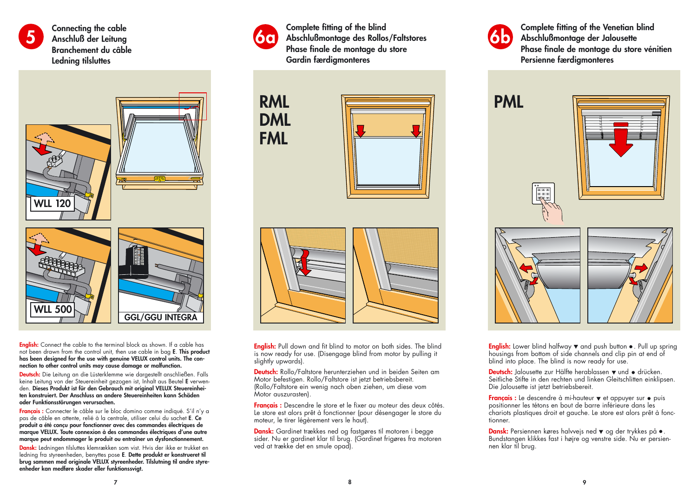

**Connecting the cable Anschluß der Leitung Branchement du câble Ledning tilsluttes**



**English:** Connect the cable to the terminal block as shown. If a cable has not been drawn from the control unit, then use cable in bag **<sup>E</sup>**. **This product has been designed for the use with genuine VELUX control units. The connection to other control units may cause damage or malfunction.**

**Deutsch:** Die Leitung an die Lüsterklemme wie dargestellt anschließen. Falls keine Leitung von der Steuereinheit gezogen ist, Inhalt aus Beutel **<sup>E</sup>** verwenden. **Dieses Produkt ist für den Gebrauch mit original VELUX Steuereinheiten konstruiert. Der Anschluss an andere Steuereinheiten kann Schäden oder Funktionsstörungen verursachen.**

**Français :** Connecter le câble sur le bloc domino comme indiqué. S'il n'y a pas de câble en attente, relié à la centrale, utiliser celui du sachet **E**. **Ce produit a été conçu pour fonctionner avec des commandes électriques de marque VELUX. Toute connexion à des commandes électriques d'une autre marque peut endommager le produit ou entraîner un dysfonctionnement.**

**Dansk:** Ledningen tilsluttes klemrækken som vist. Hvis der ikke er trukket en ledning fra styreenheden, benyttes pose **<sup>E</sup>**. **Dette produkt er konstrueret til brug sammen med originale VELUX styreenheder. Tilslutning til andre styreenheder kan medføre skader eller funktionssvigt.**



**Complete fitting of the blind Abschlußmontage des Rollos/Faltstores Phase finale de montage du store Gardin færdigmonteres**







**English:** Pull down and fit blind to motor on both sides. The blind is now ready for use. (Disengage blind from motor by pulling it slightly upwards).

**Deutsch:** Rollo/Faltstore herunterziehen und in beiden Seiten am Motor befestigen. Rollo/Faltstore ist jetzt betriebsbereit. (Rollo/Faltstore ein wenig nach oben ziehen, um diese vom Motor auszurasten).

**Français :** Descendre le store et le fixer au moteur des deux côtés. Le store est alors prêt à fonctionner (pour désengager le store du moteur, le tirer légèrement vers le haut).

**Dansk:** Gardinet trækkes ned og fastgøres til motoren i begge sider. Nu er gardinet klar til brug. (Gardinet frigøres fra motoren ved at trække det en smule opad).



**Complete fitting of the Venetian blind Abschlußmontage der Jalousette Phase finale de montage du store vénitien Persienne færdigmonteres**



**English:** Lower blind halfway  $\blacktriangledown$  and push button  $\blacktriangledown$ . Pull up spring housings from bottom of side channels and clip pin at end of blind into place. The blind is now ready for use.

**Deutsch:** Jalousette zur Hälfte herablassen  $\blacktriangledown$  und  $\blacktriangleleft$  drücken. Seitliche Stifte in den rechten und linken Gleitschlitten einklipsen. Die Jalousette ist jetzt betriebsbereit.

Français : Le descendre à mi-hauteur  $\blacktriangledown$  et appuyer sur  $\bullet$  puis positionner les tétons en bout de barre inférieure dans les chariots plastiques droit et gauche. Le store est alors prêt à fonctionner.

**Dansk:** Persiennen køres halvvejs ned  $\blacktriangledown$  og der trykkes på  $\bullet$ . Bundstangen klikkes fast i højre og venstre side. Nu er persiennen klar til brug.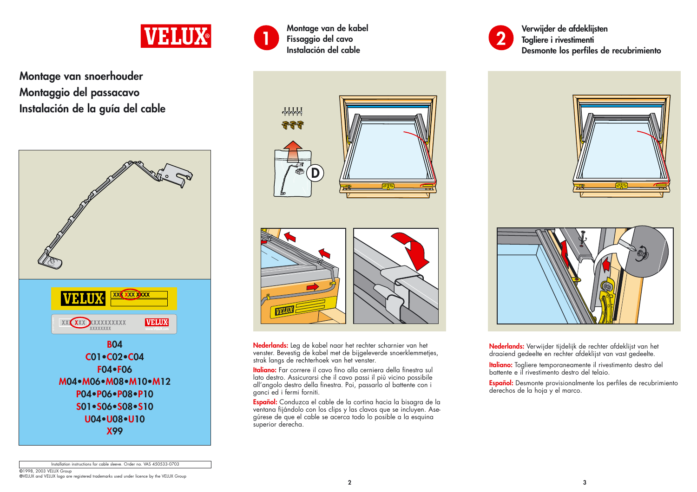

**Montage van snoerhouder Montaggio del passacavo Instalación de la guía del cable**





**Montage van de kabel Fissaggio del cavo Instalación del cable**





**Nederlands:** Leg de kabel naar het rechter scharnier van het venster. Bevestig de kabel met de bijgeleverde snoerklemmetjes, strak langs de rechterhoek van het venster.

**Italiano:** Far correre il cavo fino alla cerniera della finestra sul lato destro. Assicurarsi che il cavo passi il più vicino possibile all'angolo destro della finestra. Poi, passarlo al battente con i ganci ed i fermi forniti.

**Español:** Conduzca el cable de la cortina hacia la bisagra de la ventana fijándolo con los clips y las clavos que se incluyen. Ase<sup>g</sup>úrese de que el cable se acerca todo lo posible a la esquina superior derecha.



**Verwijder de afdeklijsten Togliere i rivestimenti Desmonte los perfiles de recubrimiento**





**Nederlands:** Verwijder tijdelijk de rechter afdeklijst van het draaiend gedeelte en rechter afdeklijst van vast gedeelte.

**Italiano:** Togliere temporaneamente il rivestimento destro del battente e il rivestimento destro del telaio.

**Español:** Desmonte provisionalmente los perfiles de recubrimiento derechos de la hoja y el marco.

Installation instructions for cable sleeve. Order no. VAS 450533-0703

**©**1998, 2003 VELUX Group **®**VELUX and VELUX logo are registered trademarks used under licence by the VELUX Group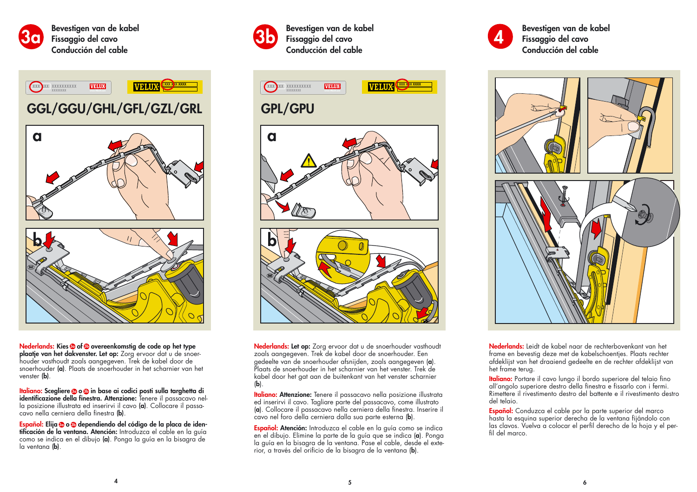

**3a Bevestigen van de kabel Fissaggio del cavo Conducción del cable**



**Nederlands: Kies of overeenkomstig de code op het type 3a 3b plaatje van het dakvenster. Let op:** Zorg ervoor dat u de snoerhouder vasthoudt zoals aangegeven. Trek de kabel door de snoerhouder **(a)**. Plaats de snoerhouder in het scharnier van het venster **(b)**.

**Italiano:** Scegliere **® o ®** in base ai codici posti sulla targhetta di **identificazione della finestra. Attenzione:** Tenere il passacavo nella posizione illustrata ed inserirvi il cavo **(a)**. Collocare il passacavo nella cerniera della finestra **(b)**.

**Español: Elija o dependiendo del código de la placa de iden-3a 3btificación de la ventana. Atención:** Introduzca el cable en la guía como se indica en el dibujo **(a)**. Ponga la guía en la bisagra de la ventana **(b)**.



**3b Bevestigen van de kabel Fissaggio del cavo Conducción del cable**



**Nederlands: Let op:** Zorg ervoor dat u de snoerhouder vasthoudt zoals aangegeven. Trek de kabel door de snoerhouder. Een gedeelte van de snoerhouder afsnijden, zoals aangegeven (**a**). Plaats de snoerhouder in het scharnier van het venster. Trek de kabel door het gat aan de buitenkant van het venster scharnier (**b**).

**Italiano: Attenzione:** Tenere il passacavo nella posizione illustrata ed inserirvi il cavo. Tagliare parte del passacavo, come illustrato (**a**). Collocare il passacavo nella cerniera della finestra. Inserire il cavo nel foro della cerniera dalla sua parte esterna (**b**).

**Español: Atención:** Introduzca el cable en la guía como se indica en el dibujo. Elimine la parte de la guía que se indica (**a**). Ponga la guía en la bisagra de la ventana. Pase el cable, desde el exterior, a través del orificio de la bisagra de la ventana (**b**).



**Bevestigen van de kabel Fissaggio del cavo Conducción del cable**



**Nederlands:** Leidt de kabel naar de rechterbovenkant van het frame en bevestig deze met de kabelschoentjes. Plaats rechter afdeklijst van het draaiend gedeelte en de rechter afdeklijst van het frame terug.

**Italiano:** Portare il cavo lungo il bordo superiore del telaio fino all'angolo superiore destro della finestra e fissarlo con i fermi. Rimettere il rivestimento destro del battente e il rivestimento destro del telaio.

**Español:** Conduzca el cable por la parte superior del marco hasta la esquina superior derecha de la ventana fijándolo con las clavos. Vuelva a colocar el perfil derecho de la hoja y el perfil del marco.